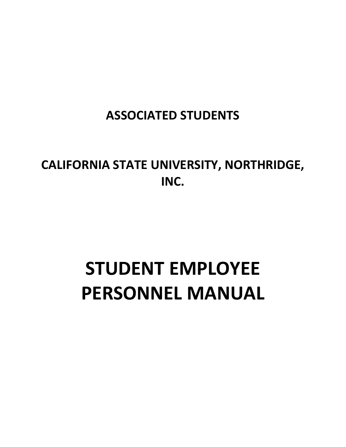# **ASSOCIATED STUDENTS**

**CALIFORNIA STATE UNIVERSITY, NORTHRIDGE, INC.**

# **STUDENT EMPLOYEE PERSONNEL MANUAL**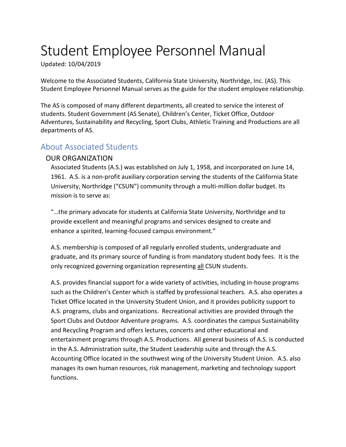# Student Employee Personnel Manual

Updated: 10/04/2019

Welcome to the Associated Students, California State University, Northridge, Inc. (AS). This Student Employee Personnel Manual serves as the guide for the student employee relationship.

The AS is composed of many different departments, all created to service the interest of students. Student Government (AS Senate), Children's Center, Ticket Office, Outdoor Adventures, Sustainability and Recycling, Sport Clubs, Athletic Training and Productions are all departments of AS.

# <span id="page-2-0"></span>About Associated Students

#### OUR ORGANIZATION

Associated Students (A.S.) was established on July 1, 1958, and incorporated on June 14, 1961. A.S. is a non-profit auxiliary corporation serving the students of the California State University, Northridge ("CSUN") community through a multi-million dollar budget. Its mission is to serve as:

"…the primary advocate for students at California State University, Northridge and to provide excellent and meaningful programs and services designed to create and enhance a spirited, learning-focused campus environment."

A.S. membership is composed of all regularly enrolled students, undergraduate and graduate, and its primary source of funding is from mandatory student body fees. It is the only recognized governing organization representing all CSUN students.

A.S. provides financial support for a wide variety of activities, including in-house programs such as the Children's Center which is staffed by professional teachers. A.S. also operates a Ticket Office located in the University Student Union, and it provides publicity support to A.S. programs, clubs and organizations. Recreational activities are provided through the Sport Clubs and Outdoor Adventure programs. A.S. coordinates the campus Sustainability and Recycling Program and offers lectures, concerts and other educational and entertainment programs through A.S. Productions. All general business of A.S. is conducted in the A.S. Administration suite, the Student Leadership suite and through the A.S. Accounting Office located in the southwest wing of the University Student Union. A.S. also manages its own human resources, risk management, marketing and technology support functions.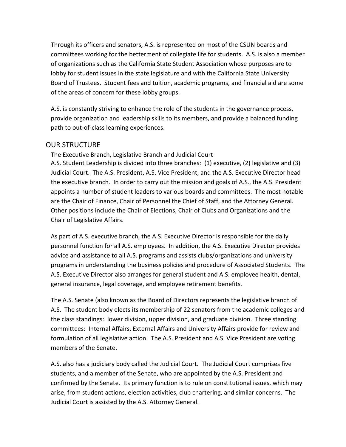Through its officers and senators, A.S. is represented on most of the CSUN boards and committees working for the betterment of collegiate life for students. A.S. is also a member of organizations such as the California State Student Association whose purposes are to lobby for student issues in the state legislature and with the California State University Board of Trustees. Student fees and tuition, academic programs, and financial aid are some of the areas of concern for these lobby groups.

A.S. is constantly striving to enhance the role of the students in the governance process, provide organization and leadership skills to its members, and provide a balanced funding path to out-of-class learning experiences.

#### OUR STRUCTURE

The Executive Branch, Legislative Branch and Judicial Court A.S. Student Leadership is divided into three branches: (1) executive, (2) legislative and (3) Judicial Court. The A.S. President, A.S. Vice President, and the A.S. Executive Director head the executive branch. In order to carry out the mission and goals of A.S., the A.S. President appoints a number of student leaders to various boards and committees. The most notable are the Chair of Finance, Chair of Personnel the Chief of Staff, and the Attorney General. Other positions include the Chair of Elections, Chair of Clubs and Organizations and the Chair of Legislative Affairs.

As part of A.S. executive branch, the A.S. Executive Director is responsible for the daily personnel function for all A.S. employees. In addition, the A.S. Executive Director provides advice and assistance to all A.S. programs and assists clubs/organizations and university programs in understanding the business policies and procedure of Associated Students. The A.S. Executive Director also arranges for general student and A.S. employee health, dental, general insurance, legal coverage, and employee retirement benefits.

The A.S. Senate (also known as the Board of Directors represents the legislative branch of A.S. The student body elects its membership of 22 senators from the academic colleges and the class standings: lower division, upper division, and graduate division. Three standing committees: Internal Affairs, External Affairs and University Affairs provide for review and formulation of all legislative action. The A.S. President and A.S. Vice President are voting members of the Senate.

A.S. also has a judiciary body called the Judicial Court. The Judicial Court comprises five students, and a member of the Senate, who are appointed by the A.S. President and confirmed by the Senate. Its primary function is to rule on constitutional issues, which may arise, from student actions, election activities, club chartering, and similar concerns. The Judicial Court is assisted by the A.S. Attorney General.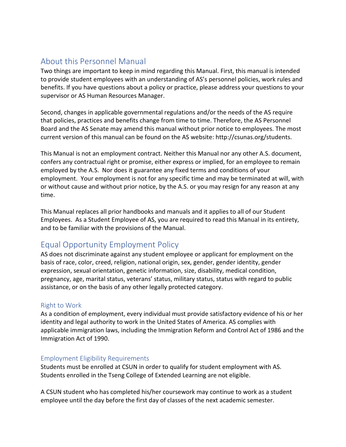# About this Personnel Manual

Two things are important to keep in mind regarding this Manual. First, this manual is intended to provide student employees with an understanding of AS's personnel policies, work rules and benefits. If you have questions about a policy or practice, please address your questions to your supervisor or AS Human Resources Manager.

Second, changes in applicable governmental regulations and/or the needs of the AS require that policies, practices and benefits change from time to time. Therefore, the AS Personnel Board and the AS Senate may amend this manual without prior notice to employees. The most current version of this manual can be found on the AS website[: http://csunas.org/students.](https://urldefense.proofpoint.com/v2/url?u=http-3A__csunas.org_students&d=DwMFaQ&c=Oo8bPJf7k7r_cPTz1JF7vEiFxvFRfQtp-j14fFwh71U&r=0jSPkavuDvp7c3pgxNuquTLYIir3lCx4wNBGmYBhyHs&m=pC70NYx7gX7YJnRvtGxeAZ5kfQ1l2GzcyE35pLVEKQI&s=t18KinejzpspNsMCvvB5vh0wTXPBLTP6ycg0yj7R040&e=)

This Manual is not an employment contract. Neither this Manual nor any other A.S. document, confers any contractual right or promise, either express or implied, for an employee to remain employed by the A.S. Nor does it guarantee any fixed terms and conditions of your employment. Your employment is not for any specific time and may be terminated at will, with or without cause and without prior notice, by the A.S. or you may resign for any reason at any time.

This Manual replaces all prior handbooks and manuals and it applies to all of our Student Employees. As a Student Employee of AS, you are required to read this Manual in its entirety, and to be familiar with the provisions of the Manual.

# <span id="page-4-0"></span>Equal Opportunity Employment Policy

AS does not discriminate against any student employee or applicant for employment on the basis of race, color, creed, religion, national origin, sex, gender, gender identity, gender expression, sexual orientation, genetic information, size, disability, medical condition, pregnancy, age, marital status, veterans' status, military status, status with regard to public assistance, or on the basis of any other legally protected category.

#### <span id="page-4-1"></span>Right to Work

As a condition of employment, every individual must provide satisfactory evidence of his or her identity and legal authority to work in the United States of America. AS complies with applicable immigration laws, including the Immigration Reform and Control Act of 1986 and the Immigration Act of 1990.

#### <span id="page-4-2"></span>Employment Eligibility Requirements

Students must be enrolled at CSUN in order to qualify for student employment with AS. Students enrolled in the Tseng College of Extended Learning are not eligible.

A CSUN student who has completed his/her coursework may continue to work as a student employee until the day before the first day of classes of the next academic semester.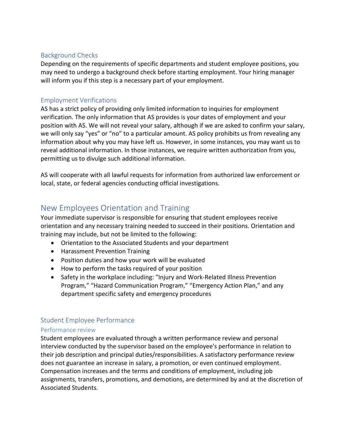#### <span id="page-5-0"></span>Background Checks

Depending on the requirements of specific departments and student employee positions, you may need to undergo a background check before starting employment. Your hiring manager will inform you if this step is a necessary part of your employment.

#### <span id="page-5-1"></span>Employment Verifications

AS has a strict policy of providing only limited information to inquiries for employment verification. The only information that AS provides is your dates of employment and your position with AS. We will not reveal your salary, although if we are asked to confirm your salary, we will only say "yes" or "no" to a particular amount. AS policy prohibits us from revealing any information about why you may have left us. However, in some instances, you may want us to reveal additional information. In those instances, we require written authorization from you, permitting us to divulge such additional information.

AS will cooperate with all lawful requests for information from authorized law enforcement or local, state, or federal agencies conducting official investigations.

# <span id="page-5-2"></span>New Employees Orientation and Training

Your immediate supervisor is responsible for ensuring that student employees receive orientation and any necessary training needed to succeed in their positions. Orientation and training may include, but not be limited to the following:

- Orientation to the Associated Students and your department
- Harassment Prevention Training
- Position duties and how your work will be evaluated
- How to perform the tasks required of your position
- Safety in the workplace including: "Injury and Work-Related Illness Prevention Program," "Hazard Communication Program," "Emergency Action Plan," and any department specific safety and emergency procedures

#### <span id="page-5-3"></span>Student Employee Performance

#### <span id="page-5-4"></span>Performance review

Student employees are evaluated through a written performance review and personal interview conducted by the supervisor based on the employee's performance in relation to their job description and principal duties/responsibilities. A satisfactory performance review does not guarantee an increase in salary, a promotion, or even continued employment. Compensation increases and the terms and conditions of employment, including job assignments, transfers, promotions, and demotions, are determined by and at the discretion of Associated Students.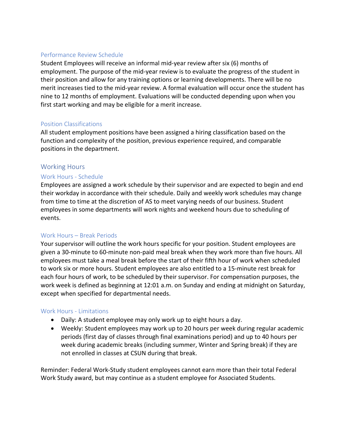#### <span id="page-6-0"></span>Performance Review Schedule

Student Employees will receive an informal mid-year review after six (6) months of employment. The purpose of the mid-year review is to evaluate the progress of the student in their position and allow for any training options or learning developments. There will be no merit increases tied to the mid-year review. A formal evaluation will occur once the student has nine to 12 months of employment. Evaluations will be conducted depending upon when you first start working and may be eligible for a merit increase.

#### <span id="page-6-1"></span>Position Classifications

All student employment positions have been assigned a hiring classification based on the function and complexity of the position, previous experience required, and comparable positions in the department.

#### <span id="page-6-2"></span>Working Hours

#### <span id="page-6-3"></span>Work Hours - Schedule

Employees are assigned a work schedule by their supervisor and are expected to begin and end their workday in accordance with their schedule. Daily and weekly work schedules may change from time to time at the discretion of AS to meet varying needs of our business. Student employees in some departments will work nights and weekend hours due to scheduling of events.

#### <span id="page-6-4"></span>Work Hours – Break Periods

Your supervisor will outline the work hours specific for your position. Student employees are given a 30-minute to 60-minute non-paid meal break when they work more than five hours. All employees must take a meal break before the start of their fifth hour of work when scheduled to work six or more hours. Student employees are also entitled to a 15-minute rest break for each four hours of work, to be scheduled by their supervisor. For compensation purposes, the work week is defined as beginning at 12:01 a.m. on Sunday and ending at midnight on Saturday, except when specified for departmental needs.

#### <span id="page-6-5"></span>Work Hours - Limitations

- Daily: A student employee may only work up to eight hours a day.
- Weekly: Student employees may work up to 20 hours per week during regular academic periods (first day of classes through final examinations period) and up to 40 hours per week during academic breaks (including summer, Winter and Spring break) if they are not enrolled in classes at CSUN during that break.

Reminder: Federal Work-Study student employees cannot earn more than their total Federal Work Study award, but may continue as a student employee for Associated Students.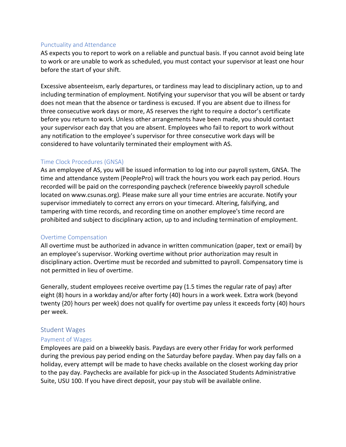#### <span id="page-7-0"></span>Punctuality and Attendance

AS expects you to report to work on a reliable and punctual basis. If you cannot avoid being late to work or are unable to work as scheduled, you must contact your supervisor at least one hour before the start of your shift.

Excessive absenteeism, early departures, or tardiness may lead to disciplinary action, up to and including termination of employment. Notifying your supervisor that you will be absent or tardy does not mean that the absence or tardiness is excused. If you are absent due to illness for three consecutive work days or more, AS reserves the right to require a doctor's certificate before you return to work. Unless other arrangements have been made, you should contact your supervisor each day that you are absent. Employees who fail to report to work without any notification to the employee's supervisor for three consecutive work days will be considered to have voluntarily terminated their employment with AS.

#### <span id="page-7-1"></span>Time Clock Procedures (GNSA)

As an employee of AS, you will be issued information to log into our payroll system, GNSA. The time and attendance system (PeoplePro) will track the hours you work each pay period. Hours recorded will be paid on the corresponding paycheck (reference biweekly payroll schedule located on www.csunas.org). Please make sure all your time entries are accurate. Notify your supervisor immediately to correct any errors on your timecard. Altering, falsifying, and tampering with time records, and recording time on another employee's time record are prohibited and subject to disciplinary action, up to and including termination of employment.

#### <span id="page-7-2"></span>Overtime Compensation

All overtime must be authorized in advance in written communication (paper, text or email) by an employee's supervisor. Working overtime without prior authorization may result in disciplinary action. Overtime must be recorded and submitted to payroll. Compensatory time is not permitted in lieu of overtime.

Generally, student employees receive overtime pay (1.5 times the regular rate of pay) after eight (8) hours in a workday and/or after forty (40) hours in a work week. Extra work (beyond twenty {20} hours per week) does not qualify for overtime pay unless it exceeds forty (40) hours per week.

#### <span id="page-7-3"></span>Student Wages

#### <span id="page-7-4"></span>Payment of Wages

Employees are paid on a biweekly basis. Paydays are every other Friday for work performed during the previous pay period ending on the Saturday before payday. When pay day falls on a holiday, every attempt will be made to have checks available on the closest working day prior to the pay day. Paychecks are available for pick-up in the Associated Students Administrative Suite, USU 100. If you have direct deposit, your pay stub will be available online.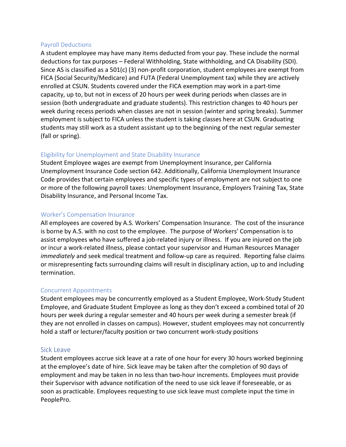#### <span id="page-8-0"></span>Payroll Deductions

A student employee may have many items deducted from your pay. These include the normal deductions for tax purposes – Federal Withholding, State withholding, and CA Disability (SDI). Since AS is classified as a 501(c) (3) non-profit corporation, student employees are exempt from FICA (Social Security/Medicare) and FUTA (Federal Unemployment tax) while they are actively enrolled at CSUN. Students covered under the FICA exemption may work in a part-time capacity, up to, but not in excess of 20 hours per week during periods when classes are in session (both undergraduate and graduate students). This restriction changes to 40 hours per week during recess periods when classes are not in session (winter and spring breaks). Summer employment is subject to FICA unless the student is taking classes here at CSUN. Graduating students may still work as a student assistant up to the beginning of the next regular semester (fall or spring).

#### <span id="page-8-1"></span>Eligibility for Unemployment and State Disability Insurance

Student Employee wages are exempt from Unemployment Insurance, per California Unemployment Insurance Code section 642. Additionally, California Unemployment Insurance Code provides that certain employees and specific types of employment are not subject to one or more of the following payroll taxes: Unemployment Insurance, Employers Training Tax, State Disability Insurance, and Personal Income Tax.

#### <span id="page-8-2"></span>Worker's Compensation Insurance

All employees are covered by A.S. Workers' Compensation Insurance. The cost of the insurance is borne by A.S. with no cost to the employee. The purpose of Workers' Compensation is to assist employees who have suffered a job-related injury or illness. If you are injured on the job or incur a work-related illness, please contact your supervisor and Human Resources Manager *immediately* and seek medical treatment and follow-up care as required. Reporting false claims or misrepresenting facts surrounding claims will result in disciplinary action, up to and including termination.

#### <span id="page-8-3"></span>Concurrent Appointments

Student employees may be concurrently employed as a Student Employee, Work-Study Student Employee, and Graduate Student Employee as long as they don't exceed a combined total of 20 hours per week during a regular semester and 40 hours per week during a semester break (if they are not enrolled in classes on campus). However, student employees may not concurrently hold a staff or lecturer/faculty position or two concurrent work-study positions

#### <span id="page-8-4"></span>Sick Leave

Student employees accrue sick leave at a rate of one hour for every 30 hours worked beginning at the employee's date of hire. Sick leave may be taken after the completion of 90 days of employment and may be taken in no less than two-hour increments. Employees must provide their Supervisor with advance notification of the need to use sick leave if foreseeable, or as soon as practicable. Employees requesting to use sick leave must complete input the time in PeoplePro.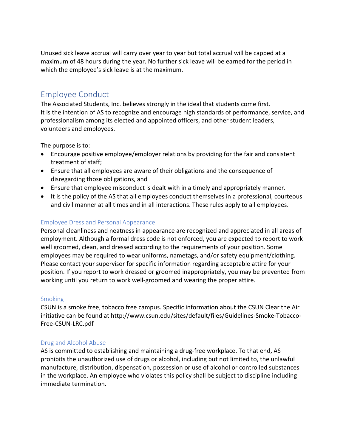Unused sick leave accrual will carry over year to year but total accrual will be capped at a maximum of 48 hours during the year. No further sick leave will be earned for the period in which the employee's sick leave is at the maximum.

### <span id="page-9-0"></span>Employee Conduct

The Associated Students, Inc. believes strongly in the ideal that students come first. It is the intention of AS to recognize and encourage high standards of performance, service, and professionalism among its elected and appointed officers, and other student leaders, volunteers and employees.

The purpose is to:

- Encourage positive employee/employer relations by providing for the fair and consistent treatment of staff;
- Ensure that all employees are aware of their obligations and the consequence of disregarding those obligations, and
- Ensure that employee misconduct is dealt with in a timely and appropriately manner.
- It is the policy of the AS that all employees conduct themselves in a professional, courteous and civil manner at all times and in all interactions. These rules apply to all employees.

#### <span id="page-9-1"></span>Employee Dress and Personal Appearance

Personal cleanliness and neatness in appearance are recognized and appreciated in all areas of employment. Although a formal dress code is not enforced, you are expected to report to work well groomed, clean, and dressed according to the requirements of your position. Some employees may be required to wear uniforms, nametags, and/or safety equipment/clothing. Please contact your supervisor for specific information regarding acceptable attire for your position. If you report to work dressed or groomed inappropriately, you may be prevented from working until you return to work well-groomed and wearing the proper attire.

#### <span id="page-9-2"></span>**Smoking**

CSUN is a smoke free, tobacco free campus. Specific information about the CSUN Clear the Air initiative can be found at [http://www.csun.edu/sites/default/files/Guidelines-Smoke-Tobacco-](http://www.csun.edu/sites/default/files/Guidelines-Smoke-Tobacco-Free-CSUN-LRC.pdf)[Free-CSUN-LRC.pdf](http://www.csun.edu/sites/default/files/Guidelines-Smoke-Tobacco-Free-CSUN-LRC.pdf)

#### <span id="page-9-3"></span>Drug and Alcohol Abuse

AS is committed to establishing and maintaining a drug-free workplace. To that end, AS prohibits the unauthorized use of drugs or alcohol, including but not limited to, the unlawful manufacture, distribution, dispensation, possession or use of alcohol or controlled substances in the workplace. An employee who violates this policy shall be subject to discipline including immediate termination.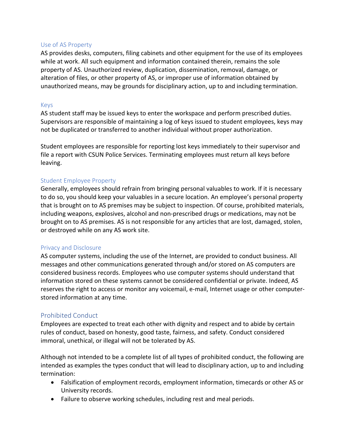#### <span id="page-10-0"></span>Use of AS Property

AS provides desks, computers, filing cabinets and other equipment for the use of its employees while at work. All such equipment and information contained therein, remains the sole property of AS. Unauthorized review, duplication, dissemination, removal, damage, or alteration of files, or other property of AS, or improper use of information obtained by unauthorized means, may be grounds for disciplinary action, up to and including termination.

#### <span id="page-10-1"></span>Keys

AS student staff may be issued keys to enter the workspace and perform prescribed duties. Supervisors are responsible of maintaining a log of keys issued to student employees, keys may not be duplicated or transferred to another individual without proper authorization.

Student employees are responsible for reporting lost keys immediately to their supervisor and file a report with CSUN Police Services. Terminating employees must return all keys before leaving.

#### <span id="page-10-2"></span>Student Employee Property

Generally, employees should refrain from bringing personal valuables to work. If it is necessary to do so, you should keep your valuables in a secure location. An employee's personal property that is brought on to AS premises may be subject to inspection. Of course, prohibited materials, including weapons, explosives, alcohol and non-prescribed drugs or medications, may not be brought on to AS premises. AS is not responsible for any articles that are lost, damaged, stolen, or destroyed while on any AS work site.

#### <span id="page-10-3"></span>Privacy and Disclosure

AS computer systems, including the use of the Internet, are provided to conduct business. All messages and other communications generated through and/or stored on AS computers are considered business records. Employees who use computer systems should understand that information stored on these systems cannot be considered confidential or private. Indeed, AS reserves the right to access or monitor any voicemail, e-mail, Internet usage or other computerstored information at any time.

#### <span id="page-10-4"></span>Prohibited Conduct

Employees are expected to treat each other with dignity and respect and to abide by certain rules of conduct, based on honesty, good taste, fairness, and safety. Conduct considered immoral, unethical, or illegal will not be tolerated by AS.

Although not intended to be a complete list of all types of prohibited conduct, the following are intended as examples the types conduct that will lead to disciplinary action, up to and including termination:

- Falsification of employment records, employment information, timecards or other AS or University records.
- Failure to observe working schedules, including rest and meal periods.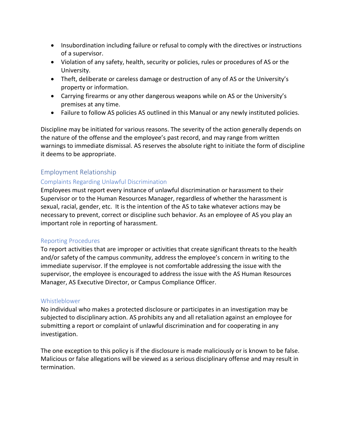- Insubordination including failure or refusal to comply with the directives or instructions of a supervisor.
- Violation of any safety, health, security or policies, rules or procedures of AS or the University.
- Theft, deliberate or careless damage or destruction of any of AS or the University's property or information.
- Carrying firearms or any other dangerous weapons while on AS or the University's premises at any time.
- Failure to follow AS policies AS outlined in this Manual or any newly instituted policies.

Discipline may be initiated for various reasons. The severity of the action generally depends on the nature of the offense and the employee's past record, and may range from written warnings to immediate dismissal. AS reserves the absolute right to initiate the form of discipline it deems to be appropriate.

#### <span id="page-11-0"></span>Employment Relationship

#### <span id="page-11-1"></span>Complaints Regarding Unlawful Discrimination

Employees must report every instance of unlawful discrimination or harassment to their Supervisor or to the Human Resources Manager, regardless of whether the harassment is sexual, racial, gender, etc. It is the intention of the AS to take whatever actions may be necessary to prevent, correct or discipline such behavior. As an employee of AS you play an important role in reporting of harassment.

#### <span id="page-11-2"></span>Reporting Procedures

To report activities that are improper or activities that create significant threats to the health and/or safety of the campus community, address the employee's concern in writing to the immediate supervisor. If the employee is not comfortable addressing the issue with the supervisor, the employee is encouraged to address the issue with the AS Human Resources Manager, AS Executive Director, or Campus Compliance Officer.

#### <span id="page-11-3"></span>Whistleblower

No individual who makes a protected disclosure or participates in an investigation may be subjected to disciplinary action. AS prohibits any and all retaliation against an employee for submitting a report or complaint of unlawful discrimination and for cooperating in any investigation.

The one exception to this policy is if the disclosure is made maliciously or is known to be false. Malicious or false allegations will be viewed as a serious disciplinary offense and may result in termination.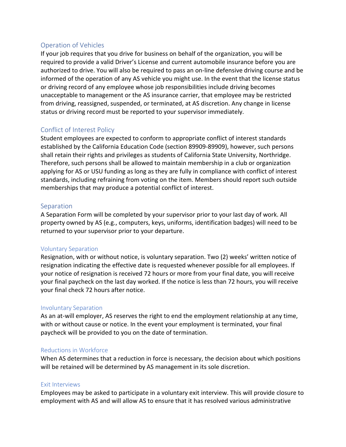#### <span id="page-12-0"></span>Operation of Vehicles

If your job requires that you drive for business on behalf of the organization, you will be required to provide a valid Driver's License and current automobile insurance before you are authorized to drive. You will also be required to pass an on-line defensive driving course and be informed of the operation of any AS vehicle you might use. In the event that the license status or driving record of any employee whose job responsibilities include driving becomes unacceptable to management or the AS insurance carrier, that employee may be restricted from driving, reassigned, suspended, or terminated, at AS discretion. Any change in license status or driving record must be reported to your supervisor immediately.

#### <span id="page-12-1"></span>Conflict of Interest Policy

Student employees are expected to conform to appropriate conflict of interest standards established by the California Education Code (section 89909-89909), however, such persons shall retain their rights and privileges as students of California State University, Northridge. Therefore, such persons shall be allowed to maintain membership in a club or organization applying for AS or USU funding as long as they are fully in compliance with conflict of interest standards, including refraining from voting on the item. Members should report such outside memberships that may produce a potential conflict of interest.

#### <span id="page-12-2"></span>Separation

A Separation Form will be completed by your supervisor prior to your last day of work. All property owned by AS (e.g., computers, keys, uniforms, identification badges) will need to be returned to your supervisor prior to your departure.

#### <span id="page-12-3"></span>Voluntary Separation

Resignation, with or without notice, is voluntary separation. Two (2) weeks' written notice of resignation indicating the effective date is requested whenever possible for all employees. If your notice of resignation is received 72 hours or more from your final date, you will receive your final paycheck on the last day worked. If the notice is less than 72 hours, you will receive your final check 72 hours after notice.

#### <span id="page-12-4"></span>Involuntary Separation

As an at-will employer, AS reserves the right to end the employment relationship at any time, with or without cause or notice. In the event your employment is terminated, your final paycheck will be provided to you on the date of termination.

#### <span id="page-12-5"></span>Reductions in Workforce

When AS determines that a reduction in force is necessary, the decision about which positions will be retained will be determined by AS management in its sole discretion.

#### <span id="page-12-6"></span>Exit Interviews

Employees may be asked to participate in a voluntary exit interview. This will provide closure to employment with AS and will allow AS to ensure that it has resolved various administrative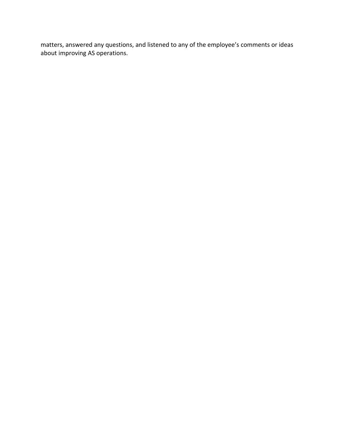matters, answered any questions, and listened to any of the employee's comments or ideas about improving AS operations.